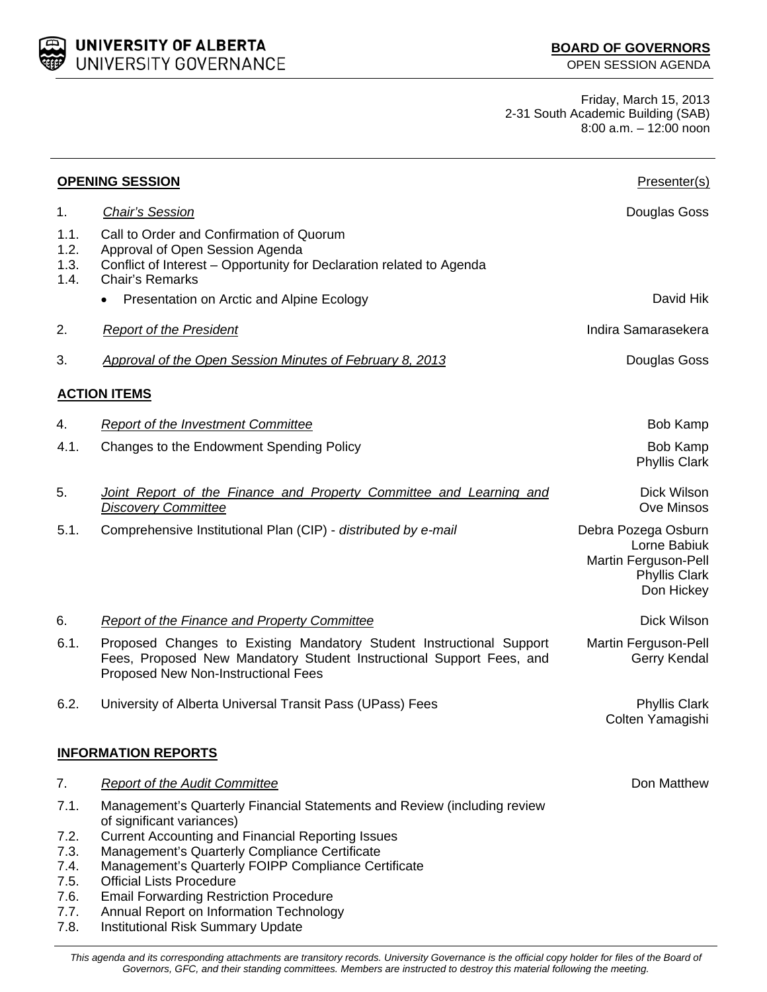UNIVERSITY OF ALBERTA UNIVERSITY GOVERNANCE

Friday, March 15, 2013 2-31 South Academic Building (SAB) 8:00 a.m. – 12:00 noon

|                                                      | <b>OPENING SESSION</b>                                                                                                                                                                                                                                                                                                                                                                                   | Presenter(s)                                                                                      |  |  |
|------------------------------------------------------|----------------------------------------------------------------------------------------------------------------------------------------------------------------------------------------------------------------------------------------------------------------------------------------------------------------------------------------------------------------------------------------------------------|---------------------------------------------------------------------------------------------------|--|--|
| 1.                                                   | <b>Chair's Session</b>                                                                                                                                                                                                                                                                                                                                                                                   | Douglas Goss                                                                                      |  |  |
| 1.1.<br>1.2.<br>1.3.<br>1.4.                         | Call to Order and Confirmation of Quorum<br>Approval of Open Session Agenda<br>Conflict of Interest - Opportunity for Declaration related to Agenda<br><b>Chair's Remarks</b>                                                                                                                                                                                                                            |                                                                                                   |  |  |
|                                                      | Presentation on Arctic and Alpine Ecology<br>$\bullet$                                                                                                                                                                                                                                                                                                                                                   | David Hik                                                                                         |  |  |
| 2.                                                   | <b>Report of the President</b>                                                                                                                                                                                                                                                                                                                                                                           | Indira Samarasekera                                                                               |  |  |
| 3.                                                   | <b>Approval of the Open Session Minutes of February 8, 2013</b>                                                                                                                                                                                                                                                                                                                                          | Douglas Goss                                                                                      |  |  |
| <b>ACTION ITEMS</b>                                  |                                                                                                                                                                                                                                                                                                                                                                                                          |                                                                                                   |  |  |
| 4.                                                   | <b>Report of the Investment Committee</b>                                                                                                                                                                                                                                                                                                                                                                | Bob Kamp                                                                                          |  |  |
| 4.1.                                                 | Changes to the Endowment Spending Policy                                                                                                                                                                                                                                                                                                                                                                 | Bob Kamp<br><b>Phyllis Clark</b>                                                                  |  |  |
| 5.                                                   | <b>Joint Report of the Finance and Property Committee and Learning and</b><br><b>Discovery Committee</b>                                                                                                                                                                                                                                                                                                 | Dick Wilson<br>Ove Minsos                                                                         |  |  |
| 5.1.                                                 | Comprehensive Institutional Plan (CIP) - distributed by e-mail                                                                                                                                                                                                                                                                                                                                           | Debra Pozega Osburn<br>Lorne Babiuk<br>Martin Ferguson-Pell<br><b>Phyllis Clark</b><br>Don Hickey |  |  |
| 6.                                                   | <b>Report of the Finance and Property Committee</b>                                                                                                                                                                                                                                                                                                                                                      | Dick Wilson                                                                                       |  |  |
| 6.1.                                                 | Proposed Changes to Existing Mandatory Student Instructional Support<br>Fees, Proposed New Mandatory Student Instructional Support Fees, and<br>Proposed New Non-Instructional Fees                                                                                                                                                                                                                      | Martin Ferguson-Pell<br>Gerry Kendal                                                              |  |  |
| 6.2.                                                 | University of Alberta Universal Transit Pass (UPass) Fees                                                                                                                                                                                                                                                                                                                                                | <b>Phyllis Clark</b><br>Colten Yamagishi                                                          |  |  |
| <b>INFORMATION REPORTS</b>                           |                                                                                                                                                                                                                                                                                                                                                                                                          |                                                                                                   |  |  |
| 7.                                                   | <b>Report of the Audit Committee</b>                                                                                                                                                                                                                                                                                                                                                                     | Don Matthew                                                                                       |  |  |
| 7.1.<br>7.2.<br>7.3.<br>7.4.<br>7.5.<br>7.6.<br>7.7. | Management's Quarterly Financial Statements and Review (including review<br>of significant variances)<br><b>Current Accounting and Financial Reporting Issues</b><br>Management's Quarterly Compliance Certificate<br>Management's Quarterly FOIPP Compliance Certificate<br><b>Official Lists Procedure</b><br><b>Email Forwarding Restriction Procedure</b><br>Annual Report on Information Technology |                                                                                                   |  |  |
| 7.8.                                                 | Institutional Risk Summary Update                                                                                                                                                                                                                                                                                                                                                                        |                                                                                                   |  |  |

*This agenda and its corresponding attachments are transitory records. University Governance is the official copy holder for files of the Board of Governors, GFC, and their standing committees. Members are instructed to destroy this material following the meeting.*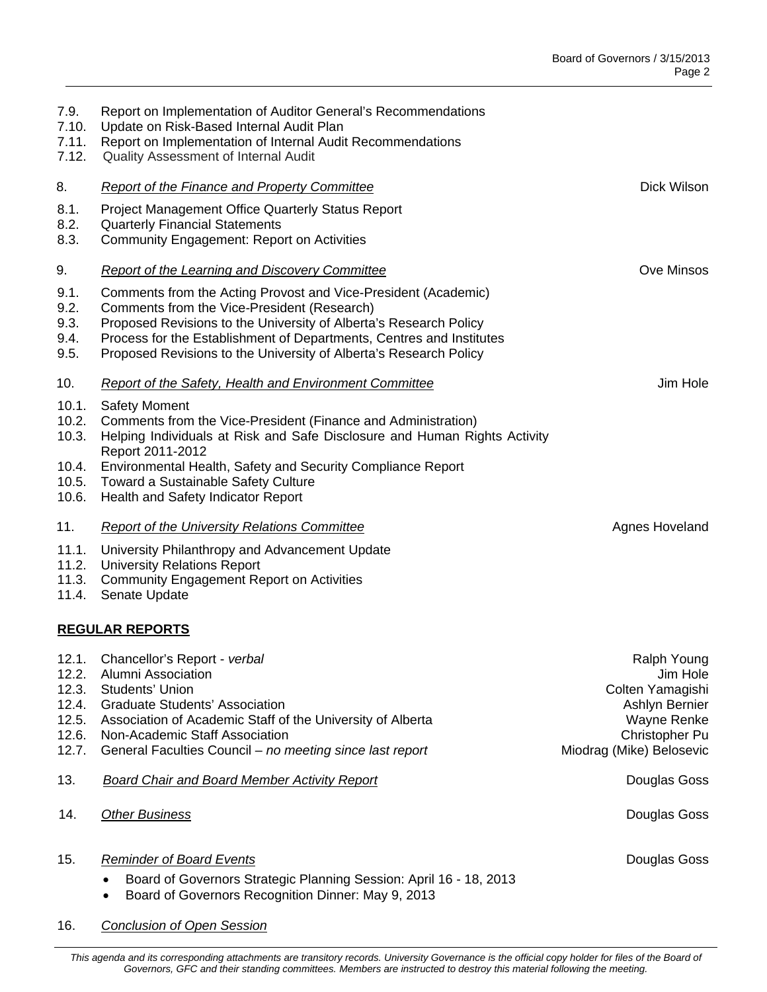| 7.9.<br>7.10.<br>7.11.<br>7.12.                             | Report on Implementation of Auditor General's Recommendations<br>Update on Risk-Based Internal Audit Plan<br>Report on Implementation of Internal Audit Recommendations<br>Quality Assessment of Internal Audit                                                                                                                    |                                                                                                                            |  |  |
|-------------------------------------------------------------|------------------------------------------------------------------------------------------------------------------------------------------------------------------------------------------------------------------------------------------------------------------------------------------------------------------------------------|----------------------------------------------------------------------------------------------------------------------------|--|--|
| 8.                                                          | <b>Report of the Finance and Property Committee</b>                                                                                                                                                                                                                                                                                | Dick Wilson                                                                                                                |  |  |
| 8.1.<br>8.2.<br>8.3.                                        | <b>Project Management Office Quarterly Status Report</b><br><b>Quarterly Financial Statements</b><br><b>Community Engagement: Report on Activities</b>                                                                                                                                                                             |                                                                                                                            |  |  |
| 9.                                                          | <b>Report of the Learning and Discovery Committee</b>                                                                                                                                                                                                                                                                              | <b>Ove Minsos</b>                                                                                                          |  |  |
| 9.1.<br>9.2.<br>9.3.<br>9.4.<br>9.5.                        | Comments from the Acting Provost and Vice-President (Academic)<br>Comments from the Vice-President (Research)<br>Proposed Revisions to the University of Alberta's Research Policy<br>Process for the Establishment of Departments, Centres and Institutes<br>Proposed Revisions to the University of Alberta's Research Policy    |                                                                                                                            |  |  |
| 10.                                                         | <b>Report of the Safety, Health and Environment Committee</b>                                                                                                                                                                                                                                                                      | Jim Hole                                                                                                                   |  |  |
| 10.1.<br>10.2.<br>10.3.<br>10.4.<br>10.5.<br>10.6.          | <b>Safety Moment</b><br>Comments from the Vice-President (Finance and Administration)<br>Helping Individuals at Risk and Safe Disclosure and Human Rights Activity<br>Report 2011-2012<br>Environmental Health, Safety and Security Compliance Report<br>Toward a Sustainable Safety Culture<br>Health and Safety Indicator Report |                                                                                                                            |  |  |
| 11.                                                         | <b>Report of the University Relations Committee</b>                                                                                                                                                                                                                                                                                | Agnes Hoveland                                                                                                             |  |  |
| 11.1.<br>11.2.<br>11.3.<br>11.4.                            | University Philanthropy and Advancement Update<br><b>University Relations Report</b><br><b>Community Engagement Report on Activities</b><br>Senate Update                                                                                                                                                                          |                                                                                                                            |  |  |
| <b>REGULAR REPORTS</b>                                      |                                                                                                                                                                                                                                                                                                                                    |                                                                                                                            |  |  |
| 12.1.<br>12.2.<br>12.3.<br>12.4.<br>12.5.<br>12.6.<br>12.7. | Chancellor's Report - verbal<br>Alumni Association<br>Students' Union<br><b>Graduate Students' Association</b><br>Association of Academic Staff of the University of Alberta<br>Non-Academic Staff Association<br>General Faculties Council - no meeting since last report                                                         | Ralph Young<br>Jim Hole<br>Colten Yamagishi<br>Ashlyn Bernier<br>Wayne Renke<br>Christopher Pu<br>Miodrag (Mike) Belosevic |  |  |
| 13.                                                         | <b>Board Chair and Board Member Activity Report</b>                                                                                                                                                                                                                                                                                | Douglas Goss                                                                                                               |  |  |
| 14.                                                         | <b>Other Business</b>                                                                                                                                                                                                                                                                                                              | Douglas Goss                                                                                                               |  |  |
| 15.                                                         | <b>Reminder of Board Events</b><br>Board of Governors Strategic Planning Session: April 16 - 18, 2013<br>Board of Governors Recognition Dinner: May 9, 2013                                                                                                                                                                        | Douglas Goss                                                                                                               |  |  |

16. *Conclusion of Open Session* 

*This agenda and its corresponding attachments are transitory records. University Governance is the official copy holder for files of the Board of Governors, GFC and their standing committees. Members are instructed to destroy this material following the meeting.*